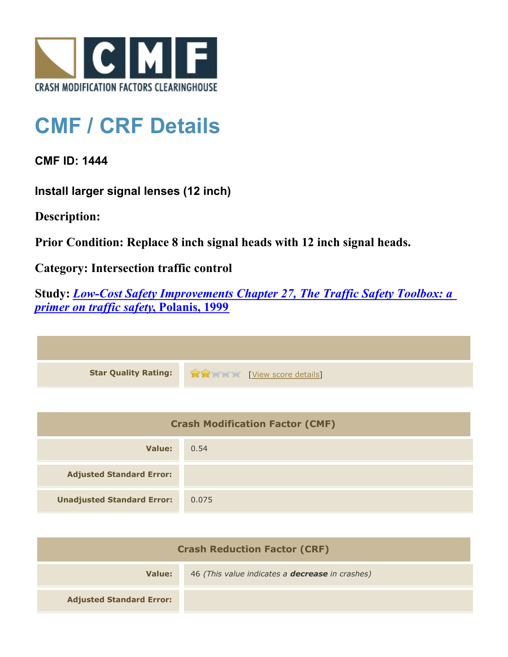

## **CMF / CRF Details**

**CMF ID: 1444**

**Install larger signal lenses (12 inch)**

**Description:** 

**Prior Condition: Replace 8 inch signal heads with 12 inch signal heads.**

**Category: Intersection traffic control**

**Study:** *[Low-Cost Safety Improvements Chapter 27, The Traffic Safety Toolbox: a](http://www.cmfclearinghouse.org/study_detail.cfm?stid=81) [primer on traffic safety](http://www.cmfclearinghouse.org/study_detail.cfm?stid=81)***[, Polanis, 1999](http://www.cmfclearinghouse.org/study_detail.cfm?stid=81)**

| Star Quality Rating: 19 20 [View score details] |
|-------------------------------------------------|

| <b>Crash Modification Factor (CMF)</b> |       |
|----------------------------------------|-------|
| Value:                                 | 0.54  |
| <b>Adjusted Standard Error:</b>        |       |
| <b>Unadjusted Standard Error:</b>      | 0.075 |

| <b>Crash Reduction Factor (CRF)</b> |                                                        |
|-------------------------------------|--------------------------------------------------------|
| Value:                              | 46 (This value indicates a <b>decrease</b> in crashes) |
| <b>Adjusted Standard Error:</b>     |                                                        |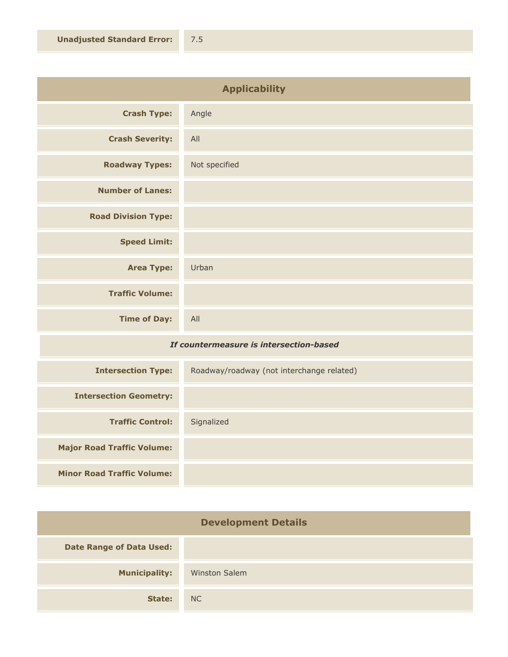| <b>Applicability</b>       |               |
|----------------------------|---------------|
| <b>Crash Type:</b>         | Angle         |
| <b>Crash Severity:</b>     | All           |
| <b>Roadway Types:</b>      | Not specified |
| <b>Number of Lanes:</b>    |               |
| <b>Road Division Type:</b> |               |
| <b>Speed Limit:</b>        |               |
| <b>Area Type:</b>          | Urban         |
| <b>Traffic Volume:</b>     |               |
| <b>Time of Day:</b>        | All           |

## *If countermeasure is intersection-based*

| <b>Intersection Type:</b>         | Roadway/roadway (not interchange related) |
|-----------------------------------|-------------------------------------------|
| <b>Intersection Geometry:</b>     |                                           |
| <b>Traffic Control:</b>           | Signalized                                |
| <b>Major Road Traffic Volume:</b> |                                           |
| <b>Minor Road Traffic Volume:</b> |                                           |

| <b>Development Details</b>      |                      |
|---------------------------------|----------------------|
| <b>Date Range of Data Used:</b> |                      |
| <b>Municipality:</b>            | <b>Winston Salem</b> |
| State:                          | NC                   |